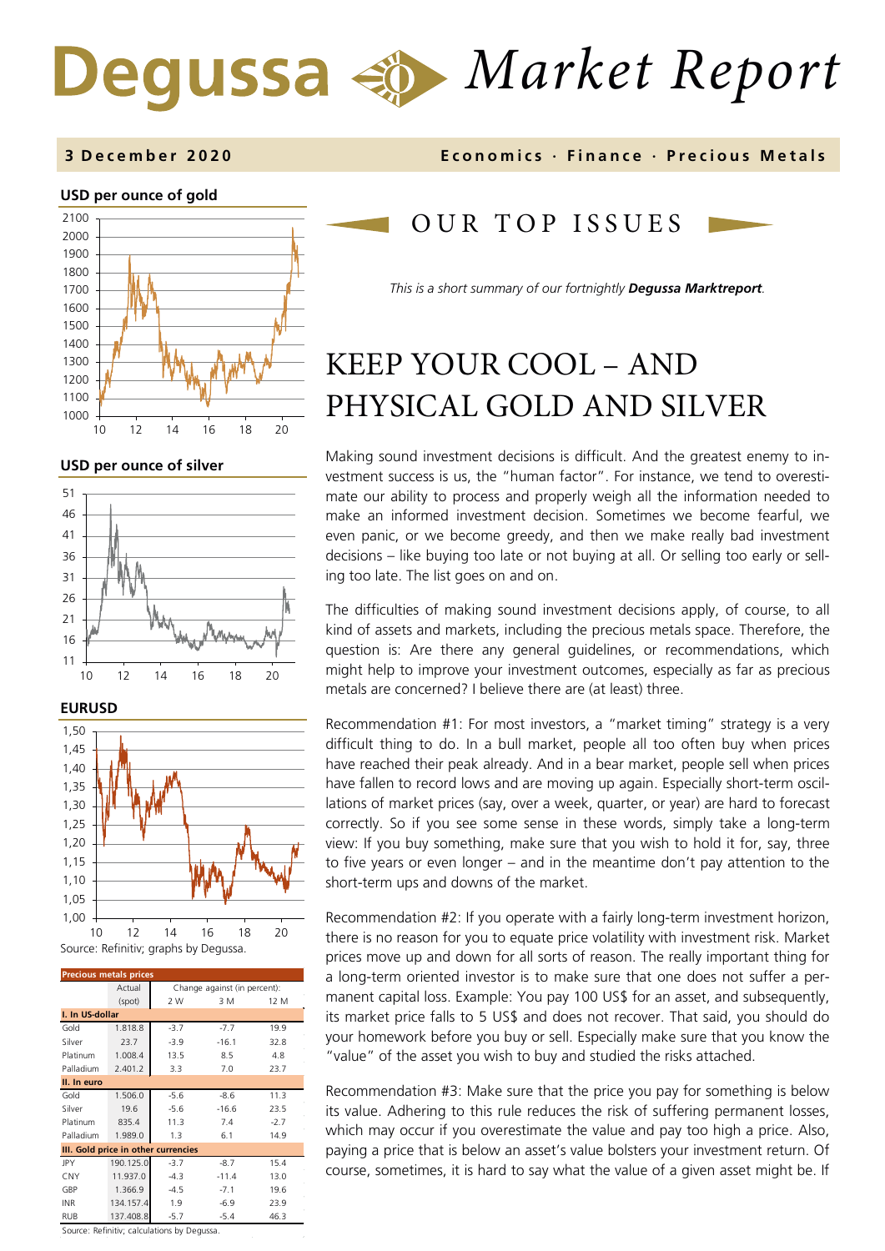# *Market Report*

#### **3 December 2020 Economics · Finance · Precious M etals**

#### **USD per ounce of gold**



**USD per ounce of silver** 







| <b>Precious metals prices</b>       |           |                              |         |        |  |  |
|-------------------------------------|-----------|------------------------------|---------|--------|--|--|
|                                     | Actual    | Change against (in percent): |         |        |  |  |
|                                     | (spot)    | 2 W                          | 3 M     | 12 M   |  |  |
| I. In US-dollar                     |           |                              |         |        |  |  |
| Gold                                | 1.818.8   | $-3.7$                       | $-7.7$  | 19.9   |  |  |
| Silver                              | 23.7      | $-3.9$                       | $-16.1$ | 32.8   |  |  |
| Platinum                            | 1.008.4   | 13.5                         | 8.5     | 4.8    |  |  |
| Palladium                           | 2.401.2   | 3.3                          | 7.0     | 23.7   |  |  |
| II. In euro                         |           |                              |         |        |  |  |
| Gold                                | 1.506.0   | $-5.6$                       | $-8.6$  | 11.3   |  |  |
| Silver                              | 19.6      | $-5.6$                       | $-16.6$ | 23.5   |  |  |
| Platinum                            | 835.4     | 11.3                         | 7.4     | $-2.7$ |  |  |
| Palladium                           | 1.989.0   | 1.3                          | 6.1     | 14.9   |  |  |
| III. Gold price in other currencies |           |                              |         |        |  |  |
| <b>JPY</b>                          | 190.125.0 | $-3.7$                       | $-8.7$  | 15.4   |  |  |
| CNY                                 | 11.937.0  | $-4.3$                       | $-11.4$ | 13.0   |  |  |
| GBP                                 | 1.366.9   | $-4.5$                       | $-7.1$  | 19.6   |  |  |
| <b>INR</b>                          | 134.157.4 | 1.9                          | $-6.9$  | 23.9   |  |  |
| <b>RUB</b>                          | 137.408.8 | $-5.7$                       | $-5.4$  | 46.3   |  |  |

OUR TOP ISSUE S

*This is a short summary of our fortnightly Degussa Marktreport.* 

## KEEP YOUR COOL – AND PHYSICAL GOLD AND SILVER

Making sound investment decisions is difficult. And the greatest enemy to investment success is us, the "human factor". For instance, we tend to overestimate our ability to process and properly weigh all the information needed to make an informed investment decision. Sometimes we become fearful, we even panic, or we become greedy, and then we make really bad investment decisions – like buying too late or not buying at all. Or selling too early or selling too late. The list goes on and on.

The difficulties of making sound investment decisions apply, of course, to all kind of assets and markets, including the precious metals space. Therefore, the question is: Are there any general guidelines, or recommendations, which might help to improve your investment outcomes, especially as far as precious metals are concerned? I believe there are (at least) three.

Recommendation #1: For most investors, a "market timing" strategy is a very difficult thing to do. In a bull market, people all too often buy when prices have reached their peak already. And in a bear market, people sell when prices have fallen to record lows and are moving up again. Especially short-term oscillations of market prices (say, over a week, quarter, or year) are hard to forecast correctly. So if you see some sense in these words, simply take a long-term view: If you buy something, make sure that you wish to hold it for, say, three to five years or even longer – and in the meantime don't pay attention to the short-term ups and downs of the market.

Recommendation #2: If you operate with a fairly long-term investment horizon, there is no reason for you to equate price volatility with investment risk. Market prices move up and down for all sorts of reason. The really important thing for a long-term oriented investor is to make sure that one does not suffer a permanent capital loss. Example: You pay 100 US\$ for an asset, and subsequently, its market price falls to 5 US\$ and does not recover. That said, you should do your homework before you buy or sell. Especially make sure that you know the "value" of the asset you wish to buy and studied the risks attached.

Recommendation #3: Make sure that the price you pay for something is below its value. Adhering to this rule reduces the risk of suffering permanent losses, which may occur if you overestimate the value and pay too high a price. Also, paying a price that is below an asset's value bolsters your investment return. Of course, sometimes, it is hard to say what the value of a given asset might be. If

Source: Refinitiv; calculations by Degussa.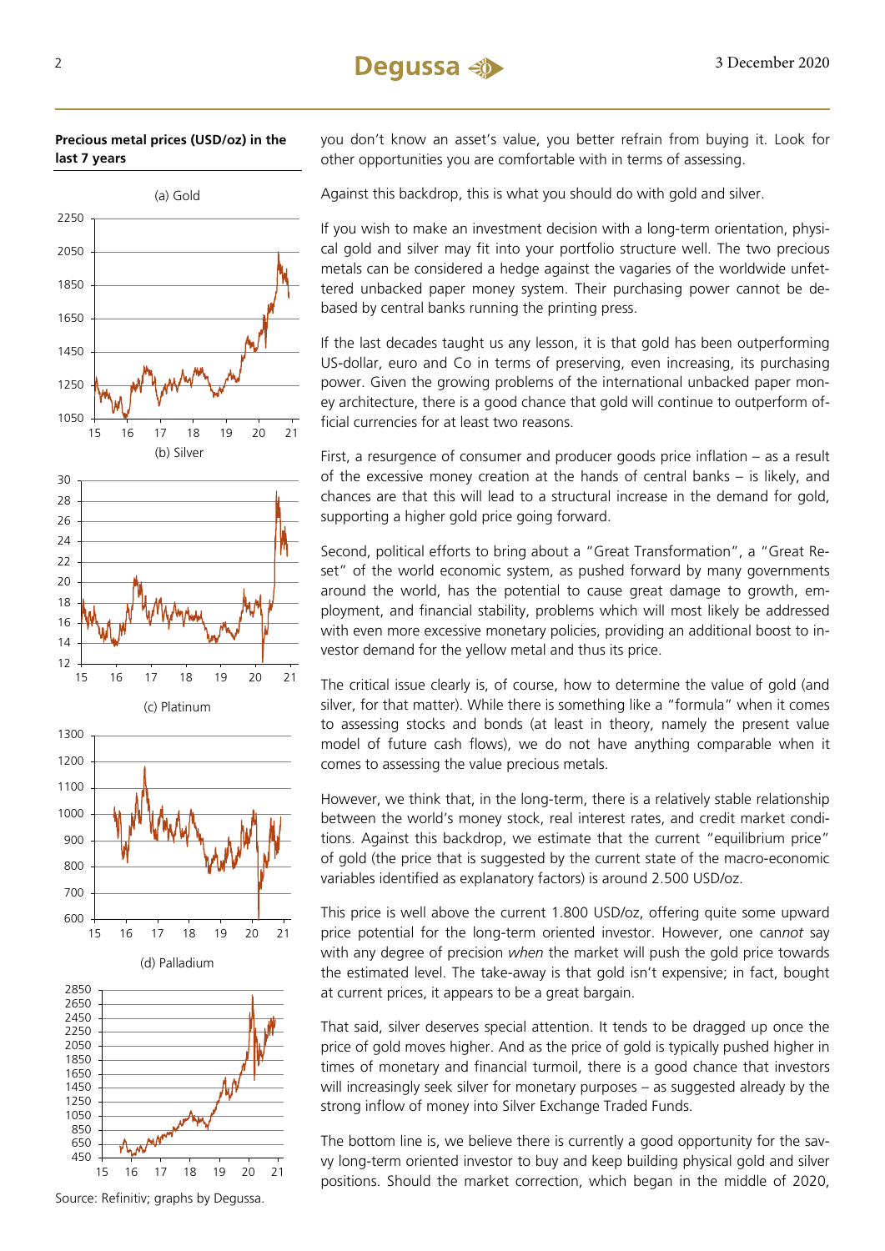



(d) Palladium

15 16 17 18 19 20 21

600



you don't know an asset's value, you better refrain from buying it. Look for other opportunities you are comfortable with in terms of assessing.

Against this backdrop, this is what you should do with gold and silver.

If you wish to make an investment decision with a long-term orientation, physical gold and silver may fit into your portfolio structure well. The two precious metals can be considered a hedge against the vagaries of the worldwide unfettered unbacked paper money system. Their purchasing power cannot be debased by central banks running the printing press.

If the last decades taught us any lesson, it is that gold has been outperforming US-dollar, euro and Co in terms of preserving, even increasing, its purchasing power. Given the growing problems of the international unbacked paper money architecture, there is a good chance that gold will continue to outperform official currencies for at least two reasons.

First, a resurgence of consumer and producer goods price inflation – as a result of the excessive money creation at the hands of central banks – is likely, and chances are that this will lead to a structural increase in the demand for gold, supporting a higher gold price going forward.

Second, political efforts to bring about a "Great Transformation", a "Great Reset" of the world economic system, as pushed forward by many governments around the world, has the potential to cause great damage to growth, employment, and financial stability, problems which will most likely be addressed with even more excessive monetary policies, providing an additional boost to investor demand for the yellow metal and thus its price.

The critical issue clearly is, of course, how to determine the value of gold (and silver, for that matter). While there is something like a "formula" when it comes to assessing stocks and bonds (at least in theory, namely the present value model of future cash flows), we do not have anything comparable when it comes to assessing the value precious metals.

However, we think that, in the long-term, there is a relatively stable relationship between the world's money stock, real interest rates, and credit market conditions. Against this backdrop, we estimate that the current "equilibrium price" of gold (the price that is suggested by the current state of the macro-economic variables identified as explanatory factors) is around 2.500 USD/oz.

This price is well above the current 1.800 USD/oz, offering quite some upward price potential for the long-term oriented investor. However, one can*not* say with any degree of precision *when* the market will push the gold price towards the estimated level. The take-away is that gold isn't expensive; in fact, bought at current prices, it appears to be a great bargain.

That said, silver deserves special attention. It tends to be dragged up once the price of gold moves higher. And as the price of gold is typically pushed higher in times of monetary and financial turmoil, there is a good chance that investors will increasingly seek silver for monetary purposes – as suggested already by the strong inflow of money into Silver Exchange Traded Funds.

The bottom line is, we believe there is currently a good opportunity for the savvy long-term oriented investor to buy and keep building physical gold and silver positions. Should the market correction, which began in the middle of 2020,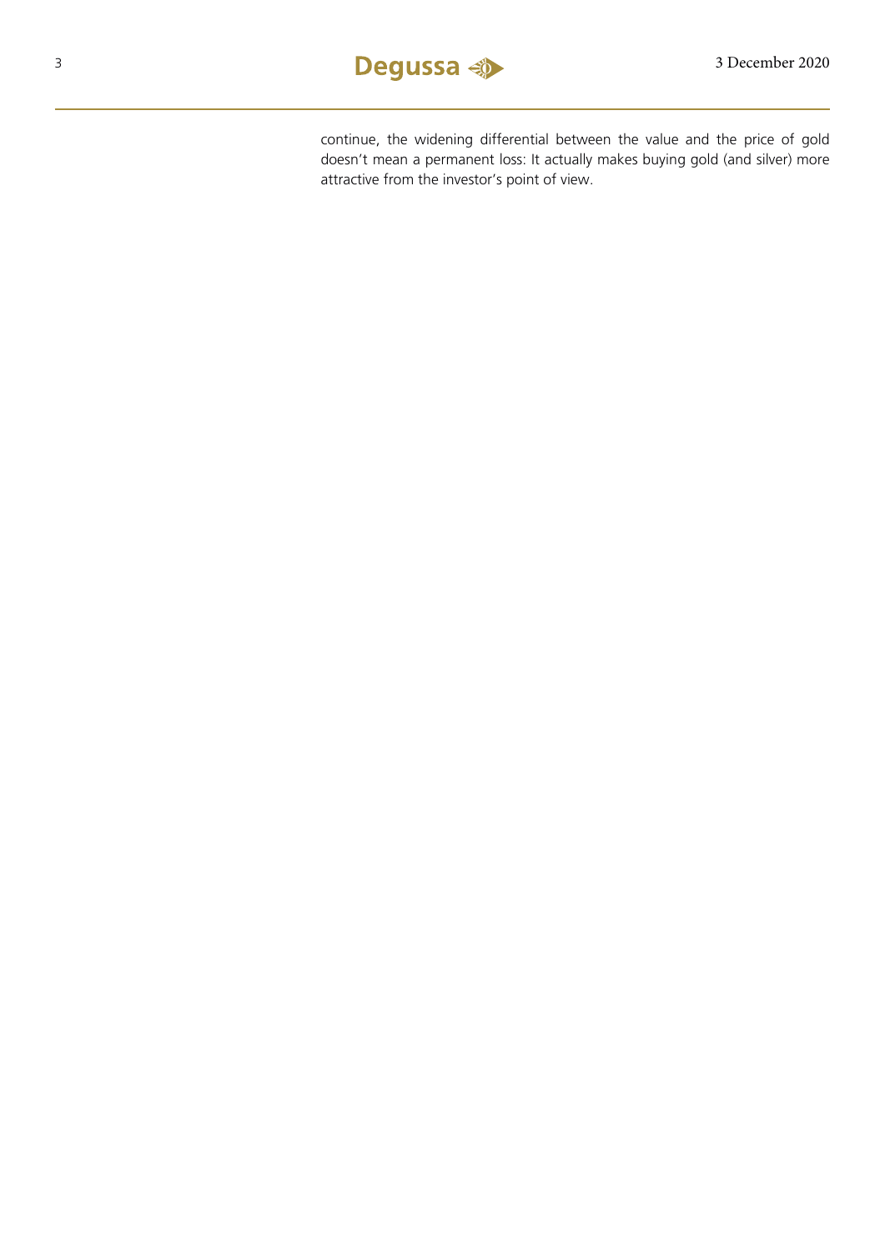

continue, the widening differential between the value and the price of gold doesn't mean a permanent loss: It actually makes buying gold (and silver) more attractive from the investor's point of view.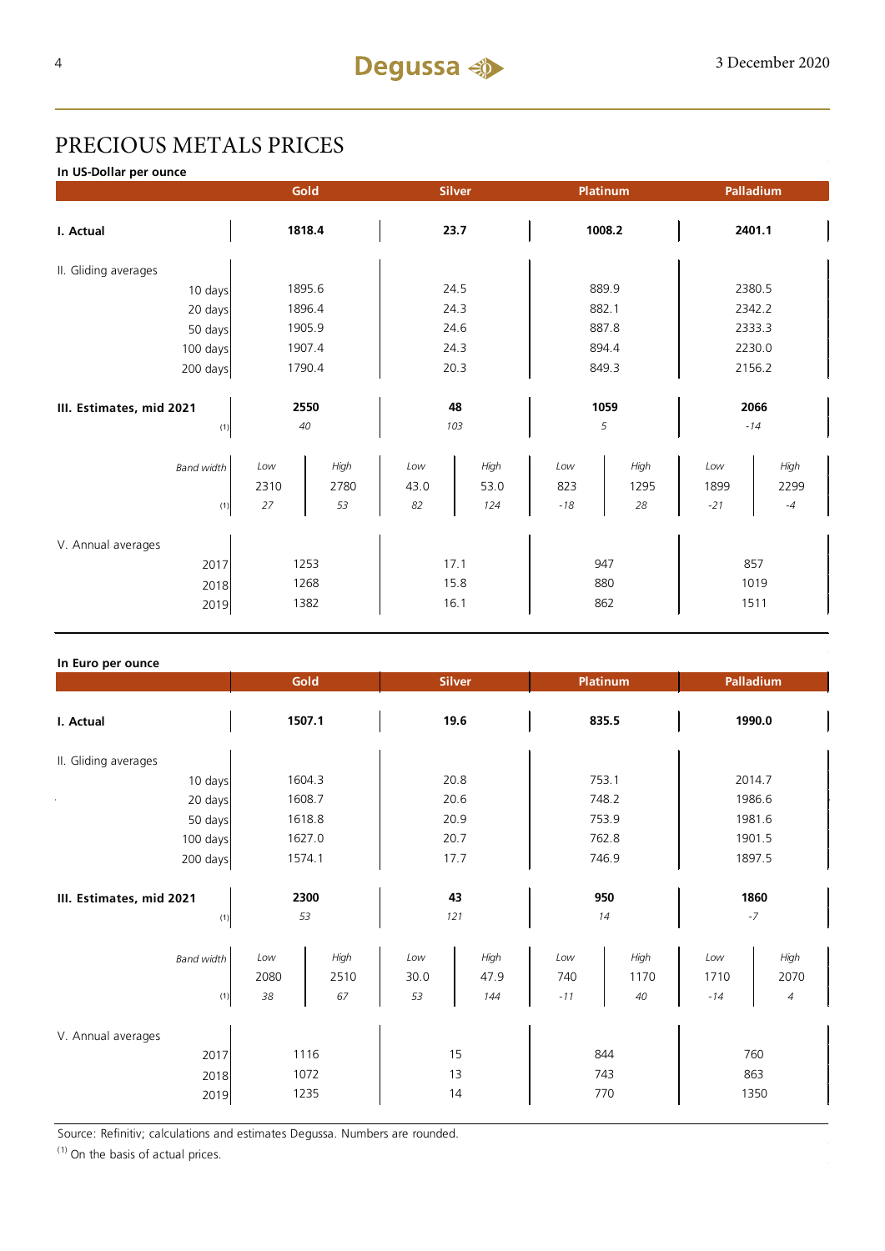## PRECIOUS METALS PRICES

**In US-Dollar per ounce**

|                                    |             | Gold         |             | <b>Silver</b> |            | Platinum     |             | Palladium    |  |
|------------------------------------|-------------|--------------|-------------|---------------|------------|--------------|-------------|--------------|--|
| I. Actual                          |             | 1818.4       |             | 23.7          |            | 1008.2       |             | 2401.1       |  |
| II. Gliding averages               |             |              |             |               |            |              |             |              |  |
| 10 days                            |             | 1895.6       |             | 24.5          |            | 889.9        |             | 2380.5       |  |
| 20 days                            |             | 1896.4       |             | 24.3          |            | 882.1        |             | 2342.2       |  |
| 50 days                            |             | 1905.9       |             | 24.6          |            | 887.8        |             | 2333.3       |  |
| 100 days                           |             | 1907.4       |             | 24.3          |            | 894.4        |             | 2230.0       |  |
| 200 days                           | 1790.4      |              | 20.3        |               | 849.3      |              | 2156.2      |              |  |
|                                    |             |              |             |               |            |              |             |              |  |
| III. Estimates, mid 2021           |             | 2550         |             | 48            |            | 1059         |             | 2066         |  |
| (1)                                |             | 40           |             | 103           |            | 5            |             | $-14$        |  |
| <b>Band width</b>                  | Low<br>2310 | High<br>2780 | Low<br>43.0 | High<br>53.0  | Low<br>823 | High<br>1295 | Low<br>1899 | High<br>2299 |  |
| (1)                                | 27          | 53           | 82          | 124           | $-18$      | 28           | $-21$       | $-4$         |  |
| V. Annual averages<br>2017<br>2018 |             | 1253<br>1268 |             | 17.1<br>15.8  |            | 947<br>880   |             | 857<br>1019  |  |
| 2019                               |             | 1382         |             | 16.1          |            | 862          |             | 1511         |  |

#### **In Euro per ounce**

|                                            |                   | Gold                 |                   | <b>Silver</b>       |                     | <b>Platinum</b>    |                      | Palladium          |
|--------------------------------------------|-------------------|----------------------|-------------------|---------------------|---------------------|--------------------|----------------------|--------------------|
| I. Actual                                  |                   | 1507.1               |                   | 19.6                |                     | 835.5              |                      | 1990.0             |
| II. Gliding averages                       |                   |                      |                   |                     |                     |                    |                      |                    |
| 10 days                                    |                   | 1604.3               |                   | 20.8                |                     | 753.1              |                      | 2014.7             |
| 20 days                                    | 1608.7            |                      | 20.6              |                     | 748.2               |                    | 1986.6               |                    |
| 50 days                                    | 1618.8            |                      | 20.9              |                     | 753.9               |                    | 1981.6               |                    |
| 100 days                                   | 1627.0            |                      | 20.7              |                     | 762.8               |                    | 1901.5               |                    |
| 200 days                                   | 1574.1            |                      | 17.7              |                     | 746.9               |                    | 1897.5               |                    |
| III. Estimates, mid 2021<br>(1)            |                   | 2300<br>53           |                   | 43<br>121           |                     | 950<br>14          |                      | 1860<br>$-7$       |
| <b>Band width</b><br>(1)                   | Low<br>2080<br>38 | High<br>2510<br>67   | Low<br>30.0<br>53 | High<br>47.9<br>144 | Low<br>740<br>$-11$ | High<br>1170<br>40 | Low<br>1710<br>$-14$ | High<br>2070<br>4  |
| V. Annual averages<br>2017<br>2018<br>2019 |                   | 1116<br>1072<br>1235 |                   | 15<br>13<br>14      |                     | 844<br>743<br>770  |                      | 760<br>863<br>1350 |

Source: Refinitiv; calculations and estimates Degussa. Numbers are rounded.

 $(1)$  On the basis of actual prices.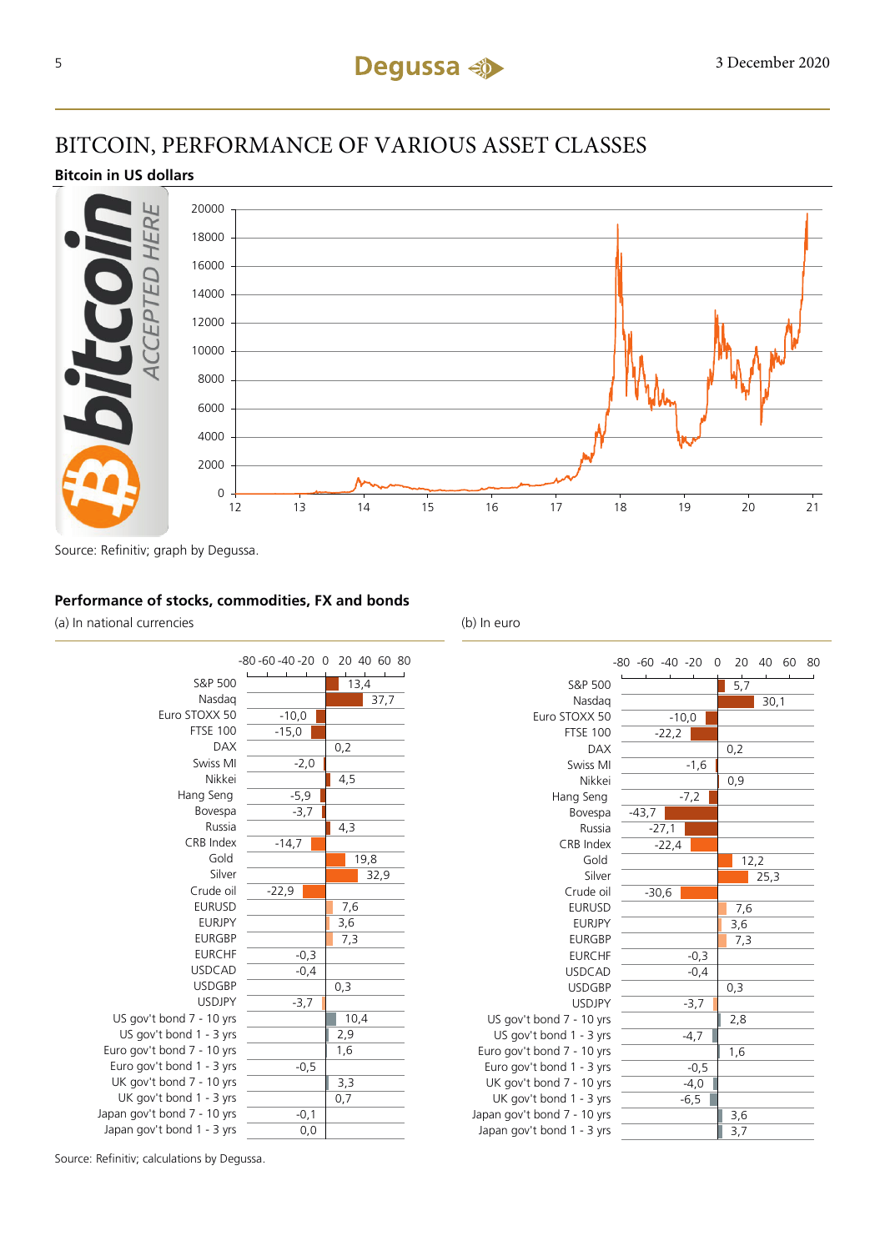## BITCOIN, PERFORMANCE OF VARIOUS ASSET CLASSES

#### **Bitcoin in US dollars**



Source: Refinitiv; graph by Degussa.

#### **Performance of stocks, commodities, FX and bonds**

(a) In national currencies (b) In euro



|                             | $-80 -60 -40 -20$<br>0 | 20<br>40<br>60<br>80 |
|-----------------------------|------------------------|----------------------|
| S&P 500                     |                        | 5,7                  |
| Nasdag                      |                        | 30,1                 |
| Euro STOXX 50               | $-10,0$                |                      |
| <b>FTSE 100</b>             | $-22,2$                |                      |
| <b>DAX</b>                  |                        | 0,2                  |
| Swiss MI                    | $-1,6$                 |                      |
| Nikkei                      |                        | 0,9                  |
| Hang Seng                   | $-7,2$                 |                      |
| Bovespa                     | $-43,7$                |                      |
| Russia                      | $-27,1$                |                      |
| CRB Index                   | $-22,4$                |                      |
| Gold                        |                        | 12,2                 |
| Silver                      |                        | 25,3                 |
| Crude oil                   | $-30,6$                |                      |
| <b>EURUSD</b>               |                        | 7,6                  |
| <b>EURJPY</b>               |                        | 3,6                  |
| <b>EURGBP</b>               |                        | 7,3                  |
| <b>EURCHF</b>               | $-0,3$                 |                      |
| <b>USDCAD</b>               | $-0,4$                 |                      |
| <b>USDGBP</b>               |                        | 0,3                  |
| <b>USDJPY</b>               | $-3,7$                 |                      |
| US gov't bond 7 - 10 yrs    |                        | 2,8                  |
| US gov't bond 1 - 3 yrs     | $-4,7$                 |                      |
| Euro gov't bond 7 - 10 yrs  |                        | 1,6                  |
| Euro gov't bond 1 - 3 yrs   | $-0,5$                 |                      |
| UK gov't bond 7 - 10 yrs    | $-4,0$                 |                      |
| UK gov't bond 1 - 3 yrs     | $-6,5$                 |                      |
| Japan gov't bond 7 - 10 yrs |                        | 3,6                  |
| Japan gov't bond 1 - 3 yrs  |                        | 3,7                  |

Source: Refinitiv; calculations by Degussa.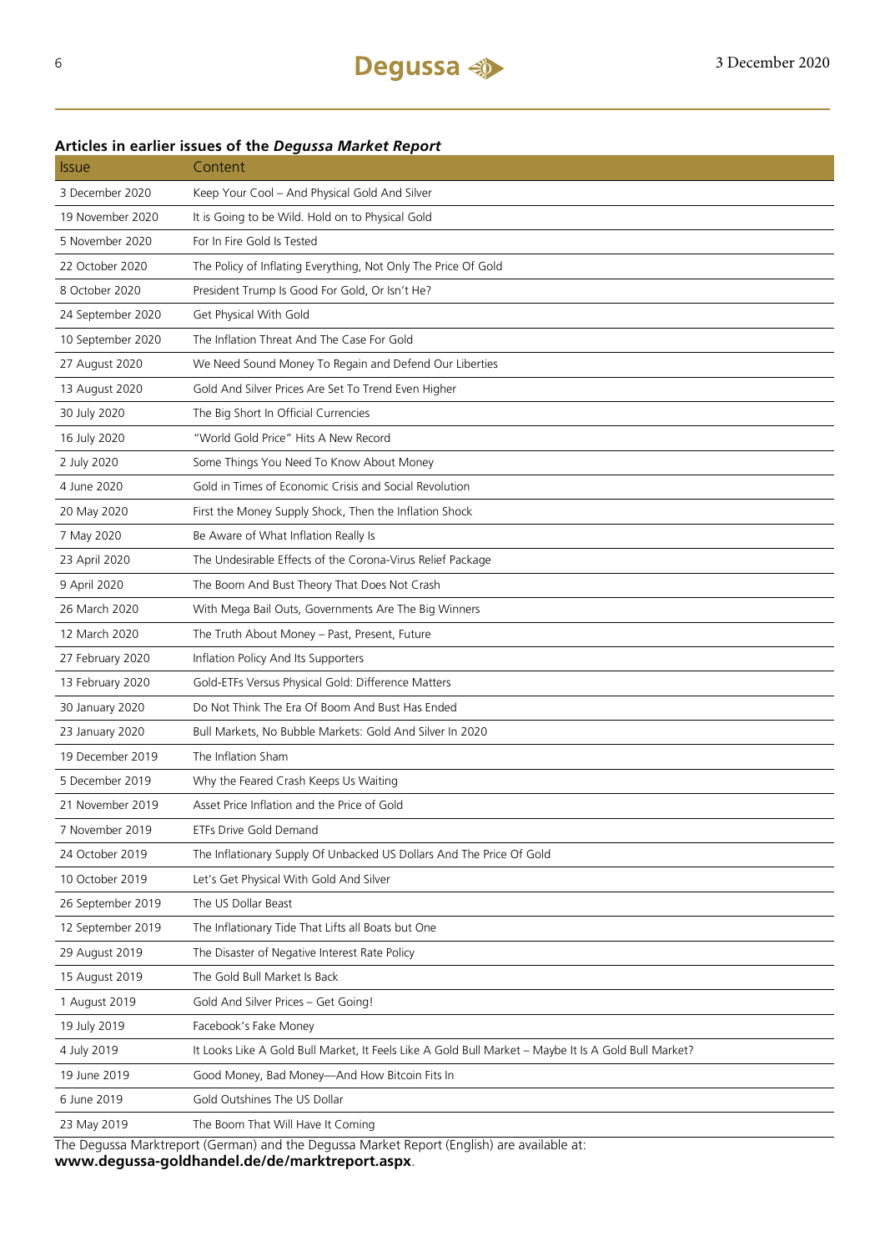### **Articles in earlier issues of the** *Degussa Market Report*

| <b>Issue</b>      | Content                                                                                              |
|-------------------|------------------------------------------------------------------------------------------------------|
| 3 December 2020   | Keep Your Cool - And Physical Gold And Silver                                                        |
| 19 November 2020  | It is Going to be Wild. Hold on to Physical Gold                                                     |
| 5 November 2020   | For In Fire Gold Is Tested                                                                           |
| 22 October 2020   | The Policy of Inflating Everything, Not Only The Price Of Gold                                       |
| 8 October 2020    | President Trump Is Good For Gold, Or Isn't He?                                                       |
| 24 September 2020 | Get Physical With Gold                                                                               |
| 10 September 2020 | The Inflation Threat And The Case For Gold                                                           |
| 27 August 2020    | We Need Sound Money To Regain and Defend Our Liberties                                               |
| 13 August 2020    | Gold And Silver Prices Are Set To Trend Even Higher                                                  |
| 30 July 2020      | The Big Short In Official Currencies                                                                 |
| 16 July 2020      | "World Gold Price" Hits A New Record                                                                 |
| 2 July 2020       | Some Things You Need To Know About Money                                                             |
| 4 June 2020       | Gold in Times of Economic Crisis and Social Revolution                                               |
| 20 May 2020       | First the Money Supply Shock, Then the Inflation Shock                                               |
| 7 May 2020        | Be Aware of What Inflation Really Is                                                                 |
| 23 April 2020     | The Undesirable Effects of the Corona-Virus Relief Package                                           |
| 9 April 2020      | The Boom And Bust Theory That Does Not Crash                                                         |
| 26 March 2020     | With Mega Bail Outs, Governments Are The Big Winners                                                 |
| 12 March 2020     | The Truth About Money - Past, Present, Future                                                        |
| 27 February 2020  | Inflation Policy And Its Supporters                                                                  |
| 13 February 2020  | Gold-ETFs Versus Physical Gold: Difference Matters                                                   |
| 30 January 2020   | Do Not Think The Era Of Boom And Bust Has Ended                                                      |
| 23 January 2020   | Bull Markets, No Bubble Markets: Gold And Silver In 2020                                             |
| 19 December 2019  | The Inflation Sham                                                                                   |
| 5 December 2019   | Why the Feared Crash Keeps Us Waiting                                                                |
| 21 November 2019  | Asset Price Inflation and the Price of Gold                                                          |
| 7 November 2019   | ETFs Drive Gold Demand                                                                               |
| 24 October 2019   | The Inflationary Supply Of Unbacked US Dollars And The Price Of Gold                                 |
| 10 October 2019   | Let's Get Physical With Gold And Silver                                                              |
| 26 September 2019 | The US Dollar Beast                                                                                  |
| 12 September 2019 | The Inflationary Tide That Lifts all Boats but One                                                   |
| 29 August 2019    | The Disaster of Negative Interest Rate Policy                                                        |
| 15 August 2019    | The Gold Bull Market Is Back                                                                         |
| 1 August 2019     | Gold And Silver Prices - Get Going!                                                                  |
| 19 July 2019      | Facebook's Fake Money                                                                                |
| 4 July 2019       | It Looks Like A Gold Bull Market, It Feels Like A Gold Bull Market - Maybe It Is A Gold Bull Market? |
| 19 June 2019      | Good Money, Bad Money-And How Bitcoin Fits In                                                        |
| 6 June 2019       | Gold Outshines The US Dollar                                                                         |
| 23 May 2019       | The Boom That Will Have It Coming                                                                    |

The Degussa Marktreport (German) and the Degussa Market Report (English) are available at: **www.degussa-goldhandel.de/de/marktreport.aspx**.